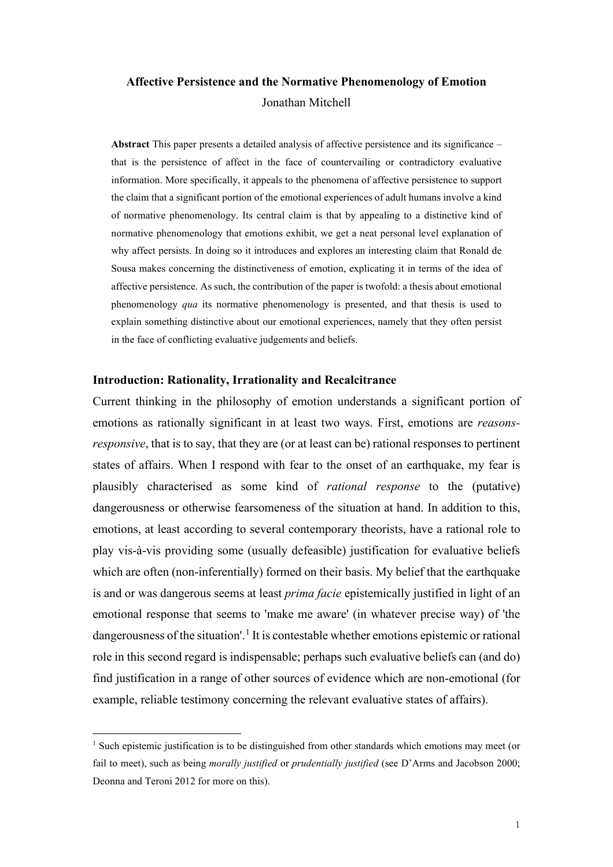# **Affective Persistence and the Normative Phenomenology of Emotion** Jonathan Mitchell

**Abstract** This paper presents a detailed analysis of affective persistence and its significance – that is the persistence of affect in the face of countervailing or contradictory evaluative information. More specifically, it appeals to the phenomena of affective persistence to support the claim that a significant portion of the emotional experiences of adult humans involve a kind of normative phenomenology. Its central claim is that by appealing to a distinctive kind of normative phenomenology that emotions exhibit, we get a neat personal level explanation of why affect persists. In doing so it introduces and explores an interesting claim that Ronald de Sousa makes concerning the distinctiveness of emotion, explicating it in terms of the idea of affective persistence. As such, the contribution of the paper is twofold: a thesis about emotional phenomenology *qua* its normative phenomenology is presented, and that thesis is used to explain something distinctive about our emotional experiences, namely that they often persist in the face of conflicting evaluative judgements and beliefs.

## **Introduction: Rationality, Irrationality and Recalcitrance**

Current thinking in the philosophy of emotion understands a significant portion of emotions as rationally significant in at least two ways. First, emotions are *reasonsresponsive*, that is to say, that they are (or at least can be) rational responses to pertinent states of affairs. When I respond with fear to the onset of an earthquake, my fear is plausibly characterised as some kind of *rational response* to the (putative) dangerousness or otherwise fearsomeness of the situation at hand. In addition to this, emotions, at least according to several contemporary theorists, have a rational role to play vis-à-vis providing some (usually defeasible) justification for evaluative beliefs which are often (non-inferentially) formed on their basis. My belief that the earthquake is and or was dangerous seems at least *prima facie* epistemically justified in light of an emotional response that seems to 'make me aware' (in whatever precise way) of 'the dangerousness of the situation'.<sup>[1](#page-0-0)</sup> It is contestable whether emotions epistemic or rational role in this second regard is indispensable; perhaps such evaluative beliefs can (and do) find justification in a range of other sources of evidence which are non-emotional (for example, reliable testimony concerning the relevant evaluative states of affairs).

<span id="page-0-0"></span><sup>&</sup>lt;sup>1</sup> Such epistemic justification is to be distinguished from other standards which emotions may meet (or fail to meet), such as being *morally justified* or *prudentially justified* (see D'Arms and Jacobson 2000; Deonna and Teroni 2012 for more on this).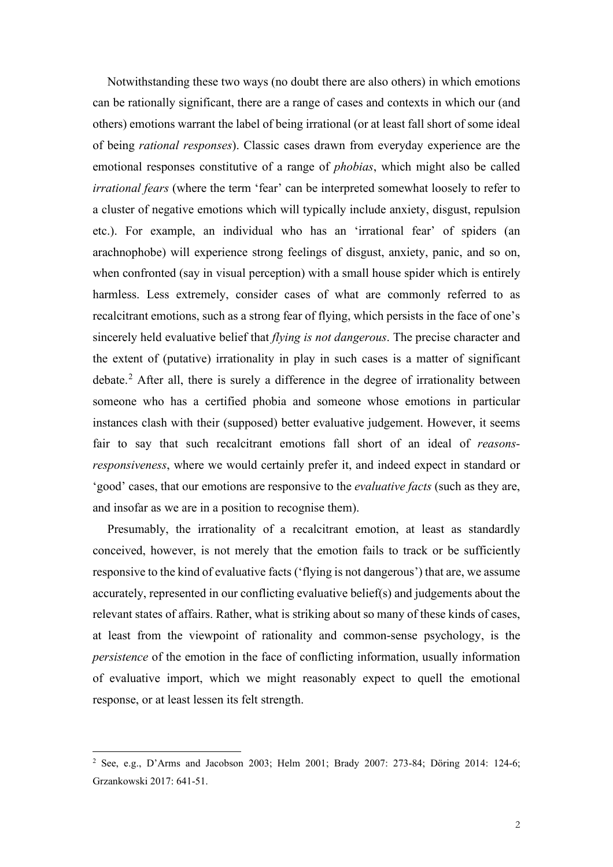Notwithstanding these two ways (no doubt there are also others) in which emotions can be rationally significant, there are a range of cases and contexts in which our (and others) emotions warrant the label of being irrational (or at least fall short of some ideal of being *rational responses*). Classic cases drawn from everyday experience are the emotional responses constitutive of a range of *phobias*, which might also be called *irrational fears* (where the term 'fear' can be interpreted somewhat loosely to refer to a cluster of negative emotions which will typically include anxiety, disgust, repulsion etc.). For example, an individual who has an 'irrational fear' of spiders (an arachnophobe) will experience strong feelings of disgust, anxiety, panic, and so on, when confronted (say in visual perception) with a small house spider which is entirely harmless. Less extremely, consider cases of what are commonly referred to as recalcitrant emotions, such as a strong fear of flying, which persists in the face of one's sincerely held evaluative belief that *flying is not dangerous*. The precise character and the extent of (putative) irrationality in play in such cases is a matter of significant debate.<sup>[2](#page-1-0)</sup> After all, there is surely a difference in the degree of irrationality between someone who has a certified phobia and someone whose emotions in particular instances clash with their (supposed) better evaluative judgement. However, it seems fair to say that such recalcitrant emotions fall short of an ideal of *reasonsresponsiveness*, where we would certainly prefer it, and indeed expect in standard or 'good' cases, that our emotions are responsive to the *evaluative facts* (such as they are, and insofar as we are in a position to recognise them).

Presumably, the irrationality of a recalcitrant emotion, at least as standardly conceived, however, is not merely that the emotion fails to track or be sufficiently responsive to the kind of evaluative facts ('flying is not dangerous') that are, we assume accurately, represented in our conflicting evaluative belief(s) and judgements about the relevant states of affairs. Rather, what is striking about so many of these kinds of cases, at least from the viewpoint of rationality and common-sense psychology, is the *persistence* of the emotion in the face of conflicting information, usually information of evaluative import, which we might reasonably expect to quell the emotional response, or at least lessen its felt strength.

<span id="page-1-0"></span><sup>2</sup> See, e.g., D'Arms and Jacobson 2003; Helm 2001; Brady 2007: 273-84; Döring 2014: 124-6; Grzankowski 2017: 641-51.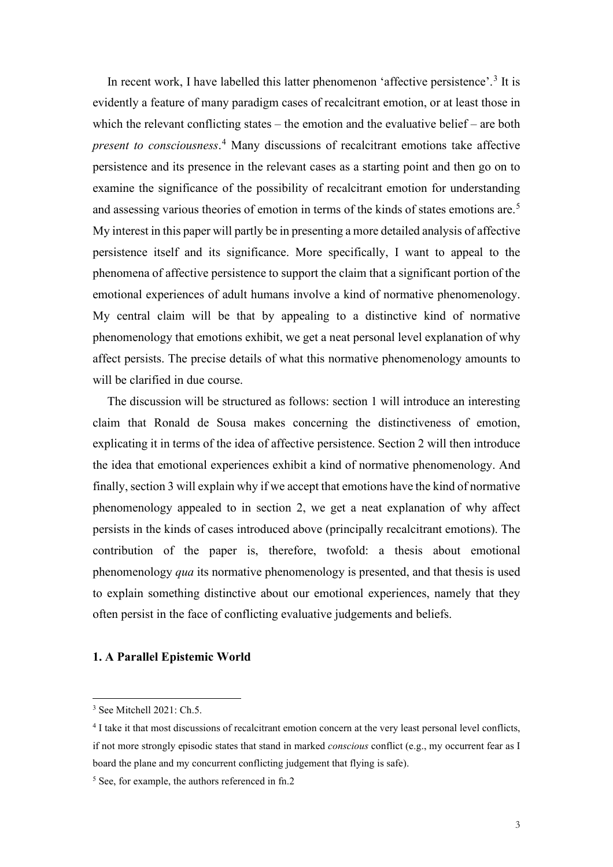In recent work, I have labelled this latter phenomenon 'affective persistence'.<sup>[3](#page-2-0)</sup> It is evidently a feature of many paradigm cases of recalcitrant emotion, or at least those in which the relevant conflicting states – the emotion and the evaluative belief – are both *present to consciousness*. [4](#page-2-1) Many discussions of recalcitrant emotions take affective persistence and its presence in the relevant cases as a starting point and then go on to examine the significance of the possibility of recalcitrant emotion for understanding and assessing various theories of emotion in terms of the kinds of states emotions are.<sup>[5](#page-2-2)</sup> My interest in this paper will partly be in presenting a more detailed analysis of affective persistence itself and its significance. More specifically, I want to appeal to the phenomena of affective persistence to support the claim that a significant portion of the emotional experiences of adult humans involve a kind of normative phenomenology. My central claim will be that by appealing to a distinctive kind of normative phenomenology that emotions exhibit, we get a neat personal level explanation of why affect persists. The precise details of what this normative phenomenology amounts to will be clarified in due course.

The discussion will be structured as follows: section 1 will introduce an interesting claim that Ronald de Sousa makes concerning the distinctiveness of emotion, explicating it in terms of the idea of affective persistence. Section 2 will then introduce the idea that emotional experiences exhibit a kind of normative phenomenology. And finally, section 3 will explain why if we accept that emotions have the kind of normative phenomenology appealed to in section 2, we get a neat explanation of why affect persists in the kinds of cases introduced above (principally recalcitrant emotions). The contribution of the paper is, therefore, twofold: a thesis about emotional phenomenology *qua* its normative phenomenology is presented, and that thesis is used to explain something distinctive about our emotional experiences, namely that they often persist in the face of conflicting evaluative judgements and beliefs.

# **1. A Parallel Epistemic World**

<span id="page-2-0"></span><sup>3</sup> See Mitchell 2021: Ch.5.

<span id="page-2-1"></span><sup>4</sup> I take it that most discussions of recalcitrant emotion concern at the very least personal level conflicts, if not more strongly episodic states that stand in marked *conscious* conflict (e.g., my occurrent fear as I board the plane and my concurrent conflicting judgement that flying is safe).

<span id="page-2-2"></span><sup>5</sup> See, for example, the authors referenced in fn.2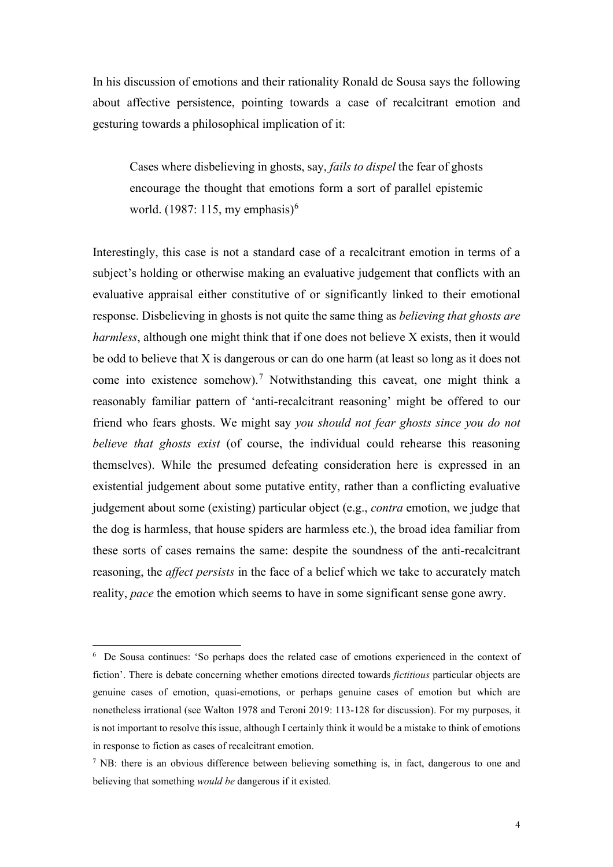In his discussion of emotions and their rationality Ronald de Sousa says the following about affective persistence, pointing towards a case of recalcitrant emotion and gesturing towards a philosophical implication of it:

Cases where disbelieving in ghosts, say, *fails to dispel* the fear of ghosts encourage the thought that emotions form a sort of parallel epistemic world.  $(1987: 115, \text{my emphasis})^6$  $(1987: 115, \text{my emphasis})^6$ 

Interestingly, this case is not a standard case of a recalcitrant emotion in terms of a subject's holding or otherwise making an evaluative judgement that conflicts with an evaluative appraisal either constitutive of or significantly linked to their emotional response. Disbelieving in ghosts is not quite the same thing as *believing that ghosts are harmless*, although one might think that if one does not believe X exists, then it would be odd to believe that X is dangerous or can do one harm (at least so long as it does not come into existence somehow). [7](#page-3-1) Notwithstanding this caveat, one might think a reasonably familiar pattern of 'anti-recalcitrant reasoning' might be offered to our friend who fears ghosts. We might say *you should not fear ghosts since you do not believe that ghosts exist* (of course, the individual could rehearse this reasoning themselves). While the presumed defeating consideration here is expressed in an existential judgement about some putative entity, rather than a conflicting evaluative judgement about some (existing) particular object (e.g., *contra* emotion, we judge that the dog is harmless, that house spiders are harmless etc.), the broad idea familiar from these sorts of cases remains the same: despite the soundness of the anti-recalcitrant reasoning, the *affect persists* in the face of a belief which we take to accurately match reality, *pace* the emotion which seems to have in some significant sense gone awry.

<span id="page-3-0"></span><sup>&</sup>lt;sup>6</sup> De Sousa continues: 'So perhaps does the related case of emotions experienced in the context of fiction'. There is debate concerning whether emotions directed towards *fictitious* particular objects are genuine cases of emotion, quasi-emotions, or perhaps genuine cases of emotion but which are nonetheless irrational (see Walton 1978 and Teroni 2019: 113-128 for discussion). For my purposes, it is not important to resolve this issue, although I certainly think it would be a mistake to think of emotions in response to fiction as cases of recalcitrant emotion.

<span id="page-3-1"></span> $<sup>7</sup>$  NB: there is an obvious difference between believing something is, in fact, dangerous to one and</sup> believing that something *would be* dangerous if it existed.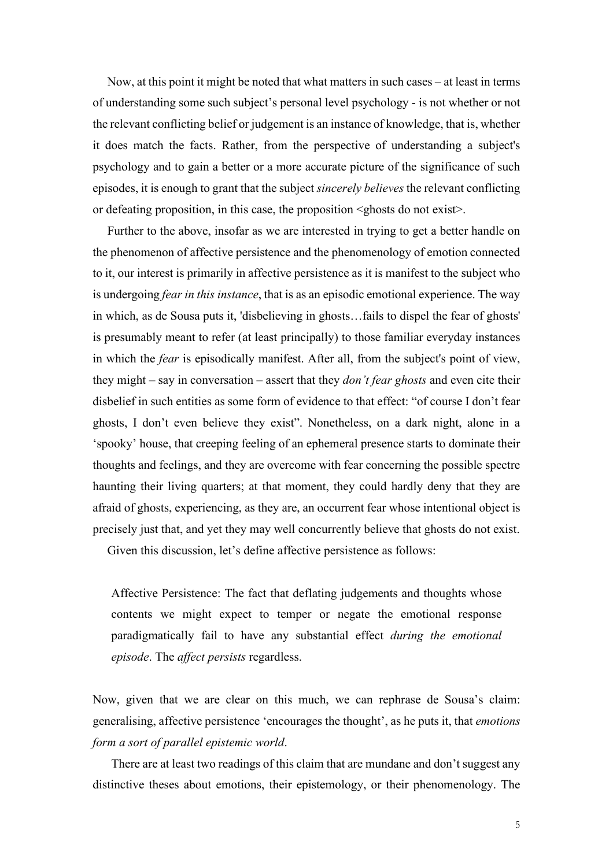Now, at this point it might be noted that what matters in such cases – at least in terms of understanding some such subject's personal level psychology - is not whether or not the relevant conflicting belief or judgement is an instance of knowledge, that is, whether it does match the facts. Rather, from the perspective of understanding a subject's psychology and to gain a better or a more accurate picture of the significance of such episodes, it is enough to grant that the subject *sincerely believes* the relevant conflicting or defeating proposition, in this case, the proposition <ghosts do not exist>.

Further to the above, insofar as we are interested in trying to get a better handle on the phenomenon of affective persistence and the phenomenology of emotion connected to it, our interest is primarily in affective persistence as it is manifest to the subject who is undergoing *fear in this instance*, that is as an episodic emotional experience. The way in which, as de Sousa puts it, 'disbelieving in ghosts…fails to dispel the fear of ghosts' is presumably meant to refer (at least principally) to those familiar everyday instances in which the *fear* is episodically manifest. After all, from the subject's point of view, they might – say in conversation – assert that they *don't fear ghosts* and even cite their disbelief in such entities as some form of evidence to that effect: "of course I don't fear ghosts, I don't even believe they exist". Nonetheless, on a dark night, alone in a 'spooky' house, that creeping feeling of an ephemeral presence starts to dominate their thoughts and feelings, and they are overcome with fear concerning the possible spectre haunting their living quarters; at that moment, they could hardly deny that they are afraid of ghosts, experiencing, as they are, an occurrent fear whose intentional object is precisely just that, and yet they may well concurrently believe that ghosts do not exist.

Given this discussion, let's define affective persistence as follows:

Affective Persistence: The fact that deflating judgements and thoughts whose contents we might expect to temper or negate the emotional response paradigmatically fail to have any substantial effect *during the emotional episode*. The *affect persists* regardless.

Now, given that we are clear on this much, we can rephrase de Sousa's claim: generalising, affective persistence 'encourages the thought', as he puts it, that *emotions form a sort of parallel epistemic world*.

There are at least two readings of this claim that are mundane and don't suggest any distinctive theses about emotions, their epistemology, or their phenomenology. The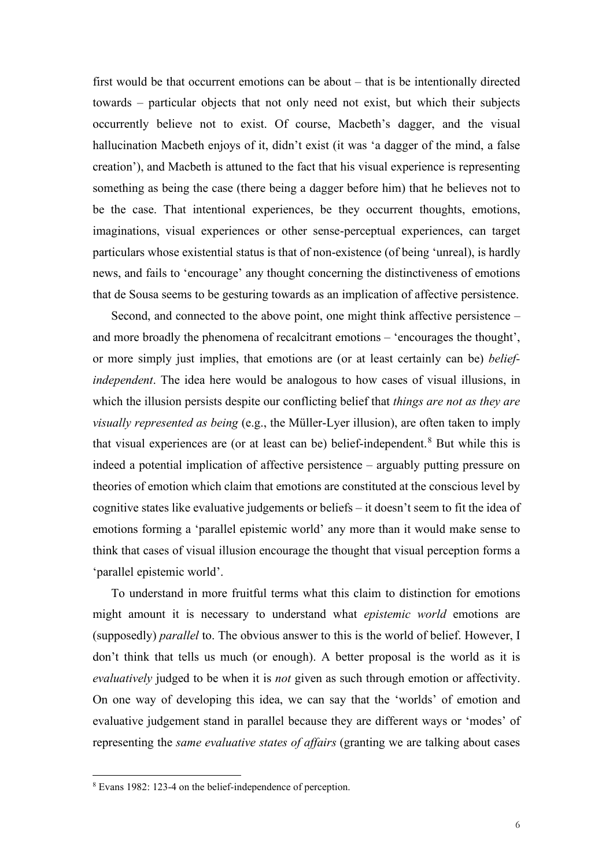first would be that occurrent emotions can be about – that is be intentionally directed towards – particular objects that not only need not exist, but which their subjects occurrently believe not to exist. Of course, Macbeth's dagger, and the visual hallucination Macbeth enjoys of it, didn't exist (it was 'a dagger of the mind, a false creation'), and Macbeth is attuned to the fact that his visual experience is representing something as being the case (there being a dagger before him) that he believes not to be the case. That intentional experiences, be they occurrent thoughts, emotions, imaginations, visual experiences or other sense-perceptual experiences, can target particulars whose existential status is that of non-existence (of being 'unreal), is hardly news, and fails to 'encourage' any thought concerning the distinctiveness of emotions that de Sousa seems to be gesturing towards as an implication of affective persistence.

Second, and connected to the above point, one might think affective persistence – and more broadly the phenomena of recalcitrant emotions – 'encourages the thought', or more simply just implies, that emotions are (or at least certainly can be) *beliefindependent*. The idea here would be analogous to how cases of visual illusions, in which the illusion persists despite our conflicting belief that *things are not as they are visually represented as being* (e.g., the Müller-Lyer illusion), are often taken to imply that visual experiences are (or at least can be) belief-independent.<sup>[8](#page-5-0)</sup> But while this is indeed a potential implication of affective persistence – arguably putting pressure on theories of emotion which claim that emotions are constituted at the conscious level by cognitive states like evaluative judgements or beliefs – it doesn't seem to fit the idea of emotions forming a 'parallel epistemic world' any more than it would make sense to think that cases of visual illusion encourage the thought that visual perception forms a 'parallel epistemic world'.

To understand in more fruitful terms what this claim to distinction for emotions might amount it is necessary to understand what *epistemic world* emotions are (supposedly) *parallel* to. The obvious answer to this is the world of belief. However, I don't think that tells us much (or enough). A better proposal is the world as it is *evaluatively* judged to be when it is *not* given as such through emotion or affectivity. On one way of developing this idea, we can say that the 'worlds' of emotion and evaluative judgement stand in parallel because they are different ways or 'modes' of representing the *same evaluative states of affairs* (granting we are talking about cases

<span id="page-5-0"></span><sup>8</sup> Evans 1982: 123-4 on the belief-independence of perception.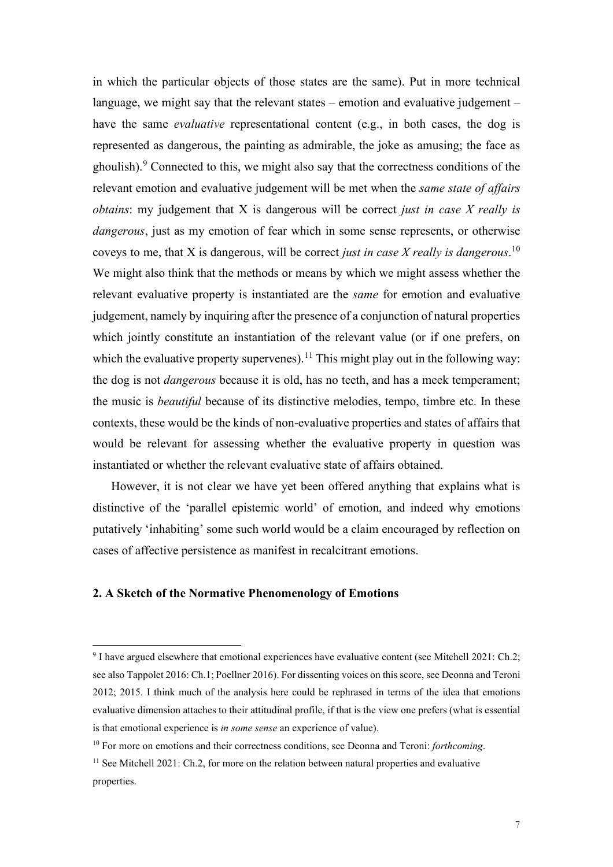in which the particular objects of those states are the same). Put in more technical language, we might say that the relevant states – emotion and evaluative judgement – have the same *evaluative* representational content (e.g., in both cases, the dog is represented as dangerous, the painting as admirable, the joke as amusing; the face as ghoulish). $9$  Connected to this, we might also say that the correctness conditions of the relevant emotion and evaluative judgement will be met when the *same state of affairs obtains*: my judgement that X is dangerous will be correct *just in case X really is dangerous*, just as my emotion of fear which in some sense represents, or otherwise coveys to me, that X is dangerous, will be correct *just in case X really is dangerous*. [10](#page-6-1) We might also think that the methods or means by which we might assess whether the relevant evaluative property is instantiated are the *same* for emotion and evaluative judgement, namely by inquiring after the presence of a conjunction of natural properties which jointly constitute an instantiation of the relevant value (or if one prefers, on which the evaluative property supervenes).<sup>[11](#page-6-2)</sup> This might play out in the following way: the dog is not *dangerous* because it is old, has no teeth, and has a meek temperament; the music is *beautiful* because of its distinctive melodies, tempo, timbre etc. In these contexts, these would be the kinds of non-evaluative properties and states of affairs that would be relevant for assessing whether the evaluative property in question was instantiated or whether the relevant evaluative state of affairs obtained.

However, it is not clear we have yet been offered anything that explains what is distinctive of the 'parallel epistemic world' of emotion, and indeed why emotions putatively 'inhabiting' some such world would be a claim encouraged by reflection on cases of affective persistence as manifest in recalcitrant emotions.

# **2. A Sketch of the Normative Phenomenology of Emotions**

<span id="page-6-0"></span><sup>9</sup> I have argued elsewhere that emotional experiences have evaluative content (see Mitchell 2021: Ch.2; see also Tappolet 2016: Ch.1; Poellner 2016). For dissenting voices on this score, see Deonna and Teroni 2012; 2015. I think much of the analysis here could be rephrased in terms of the idea that emotions evaluative dimension attaches to their attitudinal profile, if that is the view one prefers (what is essential is that emotional experience is *in some sense* an experience of value).

<span id="page-6-1"></span><sup>10</sup> For more on emotions and their correctness conditions, see Deonna and Teroni: *forthcoming*.

<span id="page-6-2"></span> $11$  See Mitchell 2021: Ch.2, for more on the relation between natural properties and evaluative properties.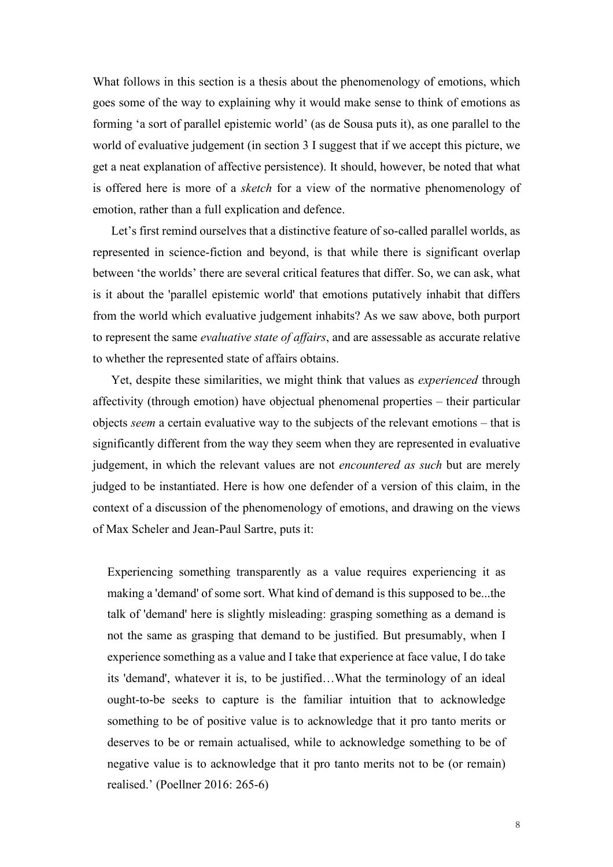What follows in this section is a thesis about the phenomenology of emotions, which goes some of the way to explaining why it would make sense to think of emotions as forming 'a sort of parallel epistemic world' (as de Sousa puts it), as one parallel to the world of evaluative judgement (in section 3 I suggest that if we accept this picture, we get a neat explanation of affective persistence). It should, however, be noted that what is offered here is more of a *sketch* for a view of the normative phenomenology of emotion, rather than a full explication and defence.

Let's first remind ourselves that a distinctive feature of so-called parallel worlds, as represented in science-fiction and beyond, is that while there is significant overlap between 'the worlds' there are several critical features that differ. So, we can ask, what is it about the 'parallel epistemic world' that emotions putatively inhabit that differs from the world which evaluative judgement inhabits? As we saw above, both purport to represent the same *evaluative state of affairs*, and are assessable as accurate relative to whether the represented state of affairs obtains.

Yet, despite these similarities, we might think that values as *experienced* through affectivity (through emotion) have objectual phenomenal properties – their particular objects *seem* a certain evaluative way to the subjects of the relevant emotions – that is significantly different from the way they seem when they are represented in evaluative judgement, in which the relevant values are not *encountered as such* but are merely judged to be instantiated. Here is how one defender of a version of this claim, in the context of a discussion of the phenomenology of emotions, and drawing on the views of Max Scheler and Jean-Paul Sartre, puts it:

Experiencing something transparently as a value requires experiencing it as making a 'demand' of some sort. What kind of demand is this supposed to be...the talk of 'demand' here is slightly misleading: grasping something as a demand is not the same as grasping that demand to be justified. But presumably, when I experience something as a value and I take that experience at face value, I do take its 'demand', whatever it is, to be justified…What the terminology of an ideal ought-to-be seeks to capture is the familiar intuition that to acknowledge something to be of positive value is to acknowledge that it pro tanto merits or deserves to be or remain actualised, while to acknowledge something to be of negative value is to acknowledge that it pro tanto merits not to be (or remain) realised.' (Poellner 2016: 265-6)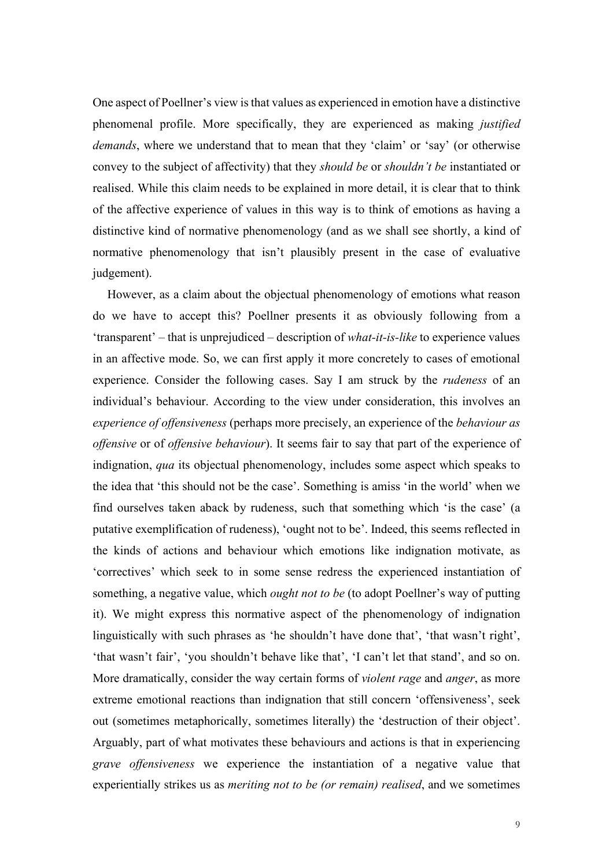One aspect of Poellner's view is that values as experienced in emotion have a distinctive phenomenal profile. More specifically, they are experienced as making *justified demands*, where we understand that to mean that they 'claim' or 'say' (or otherwise convey to the subject of affectivity) that they *should be* or *shouldn't be* instantiated or realised. While this claim needs to be explained in more detail, it is clear that to think of the affective experience of values in this way is to think of emotions as having a distinctive kind of normative phenomenology (and as we shall see shortly, a kind of normative phenomenology that isn't plausibly present in the case of evaluative judgement).

However, as a claim about the objectual phenomenology of emotions what reason do we have to accept this? Poellner presents it as obviously following from a 'transparent' – that is unprejudiced – description of *what-it-is-like* to experience values in an affective mode. So, we can first apply it more concretely to cases of emotional experience. Consider the following cases. Say I am struck by the *rudeness* of an individual's behaviour. According to the view under consideration, this involves an *experience of offensiveness* (perhaps more precisely, an experience of the *behaviour as offensive* or of *offensive behaviour*). It seems fair to say that part of the experience of indignation, *qua* its objectual phenomenology, includes some aspect which speaks to the idea that 'this should not be the case'. Something is amiss 'in the world' when we find ourselves taken aback by rudeness, such that something which 'is the case' (a putative exemplification of rudeness), 'ought not to be'. Indeed, this seems reflected in the kinds of actions and behaviour which emotions like indignation motivate, as 'correctives' which seek to in some sense redress the experienced instantiation of something, a negative value, which *ought not to be* (to adopt Poellner's way of putting it). We might express this normative aspect of the phenomenology of indignation linguistically with such phrases as 'he shouldn't have done that', 'that wasn't right', 'that wasn't fair', 'you shouldn't behave like that', 'I can't let that stand', and so on. More dramatically, consider the way certain forms of *violent rage* and *anger*, as more extreme emotional reactions than indignation that still concern 'offensiveness', seek out (sometimes metaphorically, sometimes literally) the 'destruction of their object'. Arguably, part of what motivates these behaviours and actions is that in experiencing *grave offensiveness* we experience the instantiation of a negative value that experientially strikes us as *meriting not to be (or remain) realised*, and we sometimes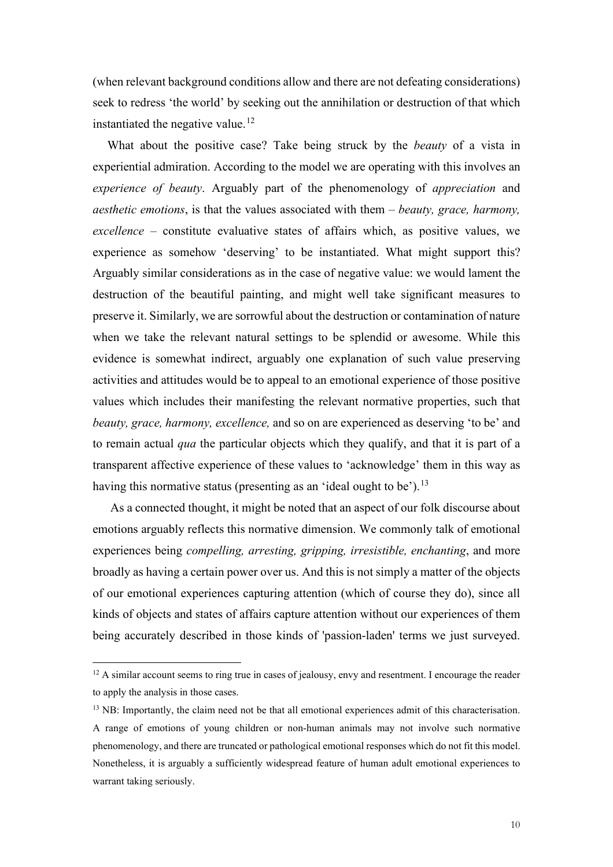(when relevant background conditions allow and there are not defeating considerations) seek to redress 'the world' by seeking out the annihilation or destruction of that which instantiated the negative value.<sup>[12](#page-9-0)</sup>

What about the positive case? Take being struck by the *beauty* of a vista in experiential admiration. According to the model we are operating with this involves an *experience of beauty*. Arguably part of the phenomenology of *appreciation* and *aesthetic emotions*, is that the values associated with them – *beauty, grace, harmony, excellence* – constitute evaluative states of affairs which, as positive values, we experience as somehow 'deserving' to be instantiated. What might support this? Arguably similar considerations as in the case of negative value: we would lament the destruction of the beautiful painting, and might well take significant measures to preserve it. Similarly, we are sorrowful about the destruction or contamination of nature when we take the relevant natural settings to be splendid or awesome. While this evidence is somewhat indirect, arguably one explanation of such value preserving activities and attitudes would be to appeal to an emotional experience of those positive values which includes their manifesting the relevant normative properties, such that *beauty, grace, harmony, excellence,* and so on are experienced as deserving 'to be' and to remain actual *qua* the particular objects which they qualify, and that it is part of a transparent affective experience of these values to 'acknowledge' them in this way as having this normative status (presenting as an 'ideal ought to be').<sup>[13](#page-9-1)</sup>

As a connected thought, it might be noted that an aspect of our folk discourse about emotions arguably reflects this normative dimension. We commonly talk of emotional experiences being *compelling, arresting, gripping, irresistible, enchanting*, and more broadly as having a certain power over us. And this is not simply a matter of the objects of our emotional experiences capturing attention (which of course they do), since all kinds of objects and states of affairs capture attention without our experiences of them being accurately described in those kinds of 'passion-laden' terms we just surveyed.

<span id="page-9-0"></span> $12$  A similar account seems to ring true in cases of jealousy, envy and resentment. I encourage the reader to apply the analysis in those cases.

<span id="page-9-1"></span><sup>&</sup>lt;sup>13</sup> NB: Importantly, the claim need not be that all emotional experiences admit of this characterisation. A range of emotions of young children or non-human animals may not involve such normative phenomenology, and there are truncated or pathological emotional responses which do not fit this model. Nonetheless, it is arguably a sufficiently widespread feature of human adult emotional experiences to warrant taking seriously.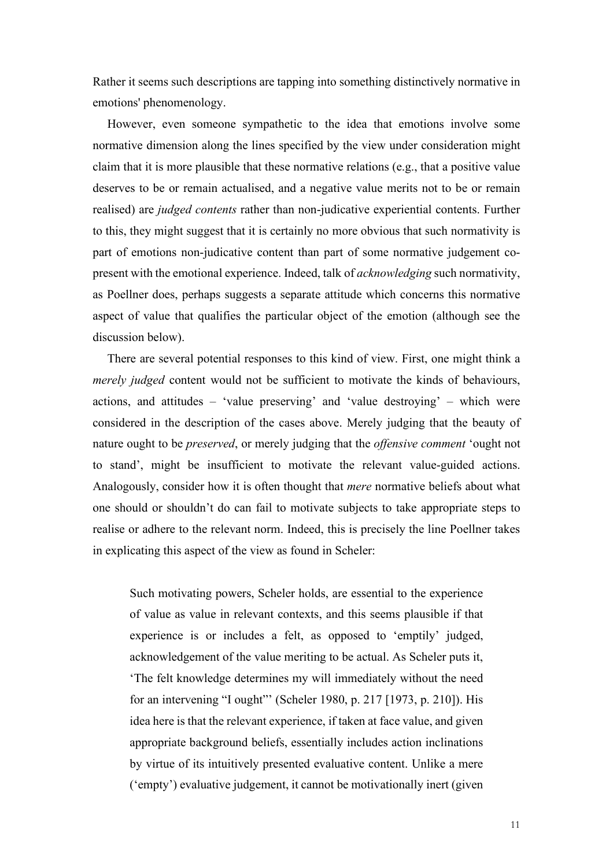Rather it seems such descriptions are tapping into something distinctively normative in emotions' phenomenology.

However, even someone sympathetic to the idea that emotions involve some normative dimension along the lines specified by the view under consideration might claim that it is more plausible that these normative relations (e.g., that a positive value deserves to be or remain actualised, and a negative value merits not to be or remain realised) are *judged contents* rather than non-judicative experiential contents. Further to this, they might suggest that it is certainly no more obvious that such normativity is part of emotions non-judicative content than part of some normative judgement copresent with the emotional experience. Indeed, talk of *acknowledging* such normativity, as Poellner does, perhaps suggests a separate attitude which concerns this normative aspect of value that qualifies the particular object of the emotion (although see the discussion below).

There are several potential responses to this kind of view. First, one might think a *merely judged* content would not be sufficient to motivate the kinds of behaviours, actions, and attitudes – 'value preserving' and 'value destroying' – which were considered in the description of the cases above. Merely judging that the beauty of nature ought to be *preserved*, or merely judging that the *offensive comment* 'ought not to stand', might be insufficient to motivate the relevant value-guided actions. Analogously, consider how it is often thought that *mere* normative beliefs about what one should or shouldn't do can fail to motivate subjects to take appropriate steps to realise or adhere to the relevant norm. Indeed, this is precisely the line Poellner takes in explicating this aspect of the view as found in Scheler:

Such motivating powers, Scheler holds, are essential to the experience of value as value in relevant contexts, and this seems plausible if that experience is or includes a felt, as opposed to 'emptily' judged, acknowledgement of the value meriting to be actual. As Scheler puts it, 'The felt knowledge determines my will immediately without the need for an intervening "I ought"' (Scheler 1980, p. 217 [1973, p. 210]). His idea here is that the relevant experience, if taken at face value, and given appropriate background beliefs, essentially includes action inclinations by virtue of its intuitively presented evaluative content. Unlike a mere ('empty') evaluative judgement, it cannot be motivationally inert (given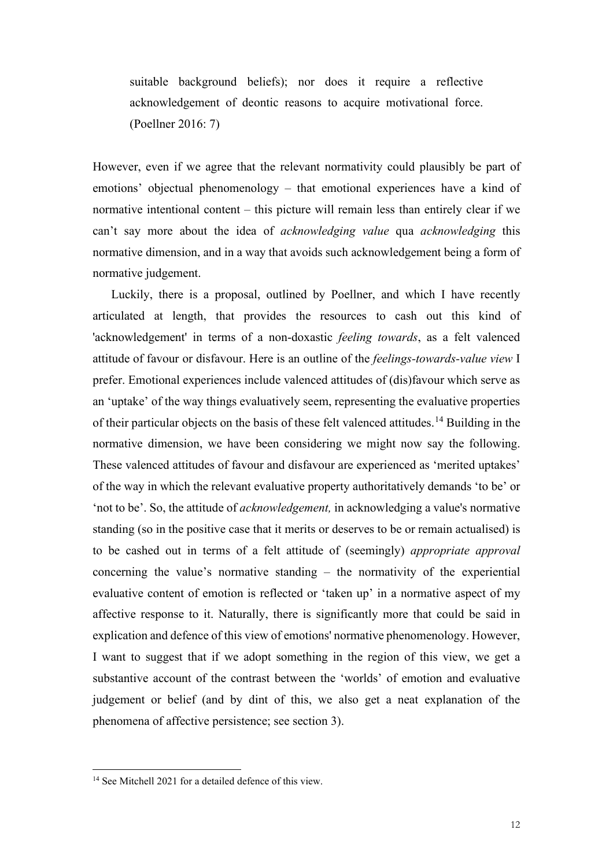suitable background beliefs); nor does it require a reflective acknowledgement of deontic reasons to acquire motivational force. (Poellner 2016: 7)

However, even if we agree that the relevant normativity could plausibly be part of emotions' objectual phenomenology – that emotional experiences have a kind of normative intentional content – this picture will remain less than entirely clear if we can't say more about the idea of *acknowledging value* qua *acknowledging* this normative dimension, and in a way that avoids such acknowledgement being a form of normative judgement.

Luckily, there is a proposal, outlined by Poellner, and which I have recently articulated at length, that provides the resources to cash out this kind of 'acknowledgement' in terms of a non-doxastic *feeling towards*, as a felt valenced attitude of favour or disfavour. Here is an outline of the *feelings-towards-value view* I prefer. Emotional experiences include valenced attitudes of (dis)favour which serve as an 'uptake' of the way things evaluatively seem, representing the evaluative properties of their particular objects on the basis of these felt valenced attitudes.[14](#page-11-0) Building in the normative dimension, we have been considering we might now say the following. These valenced attitudes of favour and disfavour are experienced as 'merited uptakes' of the way in which the relevant evaluative property authoritatively demands 'to be' or 'not to be'. So, the attitude of *acknowledgement,* in acknowledging a value's normative standing (so in the positive case that it merits or deserves to be or remain actualised) is to be cashed out in terms of a felt attitude of (seemingly) *appropriate approval* concerning the value's normative standing – the normativity of the experiential evaluative content of emotion is reflected or 'taken up' in a normative aspect of my affective response to it. Naturally, there is significantly more that could be said in explication and defence of this view of emotions' normative phenomenology. However, I want to suggest that if we adopt something in the region of this view, we get a substantive account of the contrast between the 'worlds' of emotion and evaluative judgement or belief (and by dint of this, we also get a neat explanation of the phenomena of affective persistence; see section 3).

<span id="page-11-0"></span><sup>&</sup>lt;sup>14</sup> See Mitchell 2021 for a detailed defence of this view.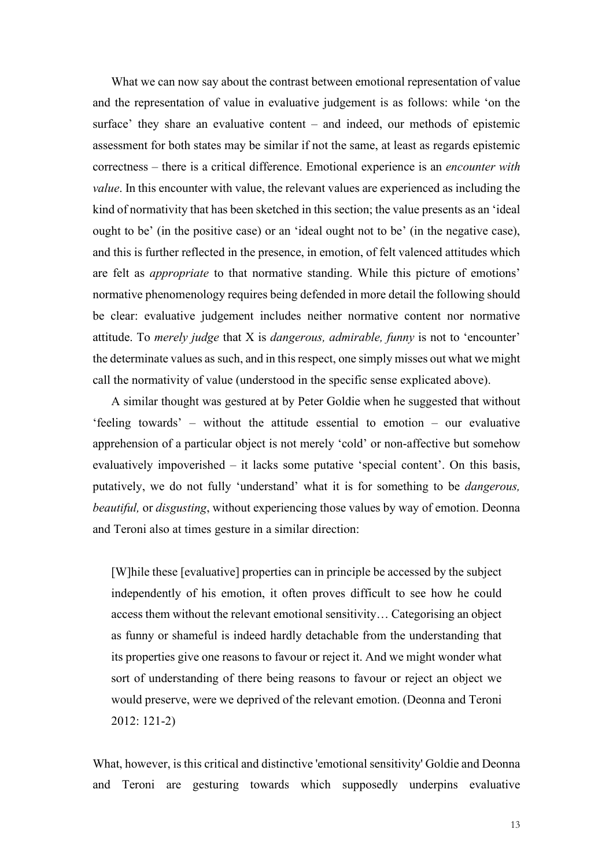What we can now say about the contrast between emotional representation of value and the representation of value in evaluative judgement is as follows: while 'on the surface' they share an evaluative content – and indeed, our methods of epistemic assessment for both states may be similar if not the same, at least as regards epistemic correctness – there is a critical difference. Emotional experience is an *encounter with value*. In this encounter with value, the relevant values are experienced as including the kind of normativity that has been sketched in this section; the value presents as an 'ideal ought to be' (in the positive case) or an 'ideal ought not to be' (in the negative case), and this is further reflected in the presence, in emotion, of felt valenced attitudes which are felt as *appropriate* to that normative standing. While this picture of emotions' normative phenomenology requires being defended in more detail the following should be clear: evaluative judgement includes neither normative content nor normative attitude. To *merely judge* that X is *dangerous, admirable, funny* is not to 'encounter' the determinate values as such, and in this respect, one simply misses out what we might call the normativity of value (understood in the specific sense explicated above).

A similar thought was gestured at by Peter Goldie when he suggested that without 'feeling towards' – without the attitude essential to emotion – our evaluative apprehension of a particular object is not merely 'cold' or non-affective but somehow evaluatively impoverished – it lacks some putative 'special content'. On this basis, putatively, we do not fully 'understand' what it is for something to be *dangerous, beautiful,* or *disgusting*, without experiencing those values by way of emotion. Deonna and Teroni also at times gesture in a similar direction:

[W]hile these [evaluative] properties can in principle be accessed by the subject independently of his emotion, it often proves difficult to see how he could access them without the relevant emotional sensitivity… Categorising an object as funny or shameful is indeed hardly detachable from the understanding that its properties give one reasons to favour or reject it. And we might wonder what sort of understanding of there being reasons to favour or reject an object we would preserve, were we deprived of the relevant emotion. (Deonna and Teroni 2012: 121-2)

What, however, is this critical and distinctive 'emotional sensitivity' Goldie and Deonna and Teroni are gesturing towards which supposedly underpins evaluative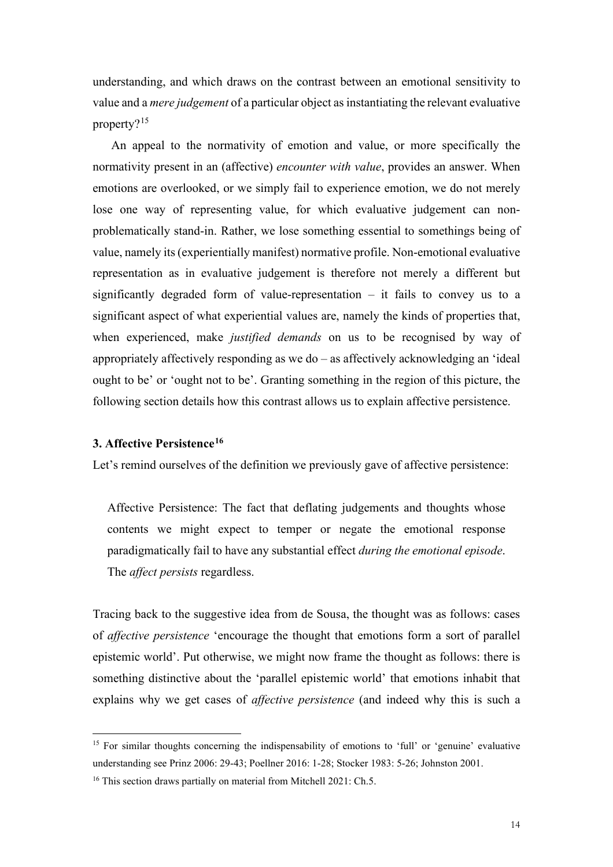understanding, and which draws on the contrast between an emotional sensitivity to value and a *mere judgement* of a particular object as instantiating the relevant evaluative property?[15](#page-13-0)

An appeal to the normativity of emotion and value, or more specifically the normativity present in an (affective) *encounter with value*, provides an answer. When emotions are overlooked, or we simply fail to experience emotion, we do not merely lose one way of representing value, for which evaluative judgement can nonproblematically stand-in. Rather, we lose something essential to somethings being of value, namely its (experientially manifest) normative profile. Non-emotional evaluative representation as in evaluative judgement is therefore not merely a different but significantly degraded form of value-representation – it fails to convey us to a significant aspect of what experiential values are, namely the kinds of properties that, when experienced, make *justified demands* on us to be recognised by way of appropriately affectively responding as we do – as affectively acknowledging an 'ideal ought to be' or 'ought not to be'. Granting something in the region of this picture, the following section details how this contrast allows us to explain affective persistence.

# **3. Affective Persistence[16](#page-13-1)**

Let's remind ourselves of the definition we previously gave of affective persistence:

Affective Persistence: The fact that deflating judgements and thoughts whose contents we might expect to temper or negate the emotional response paradigmatically fail to have any substantial effect *during the emotional episode*. The *affect persists* regardless.

Tracing back to the suggestive idea from de Sousa, the thought was as follows: cases of *affective persistence* 'encourage the thought that emotions form a sort of parallel epistemic world'. Put otherwise, we might now frame the thought as follows: there is something distinctive about the 'parallel epistemic world' that emotions inhabit that explains why we get cases of *affective persistence* (and indeed why this is such a

<span id="page-13-0"></span><sup>&</sup>lt;sup>15</sup> For similar thoughts concerning the indispensability of emotions to 'full' or 'genuine' evaluative understanding see Prinz 2006: 29-43; Poellner 2016: 1-28; Stocker 1983: 5-26; Johnston 2001.

<span id="page-13-1"></span><sup>&</sup>lt;sup>16</sup> This section draws partially on material from Mitchell 2021: Ch.5.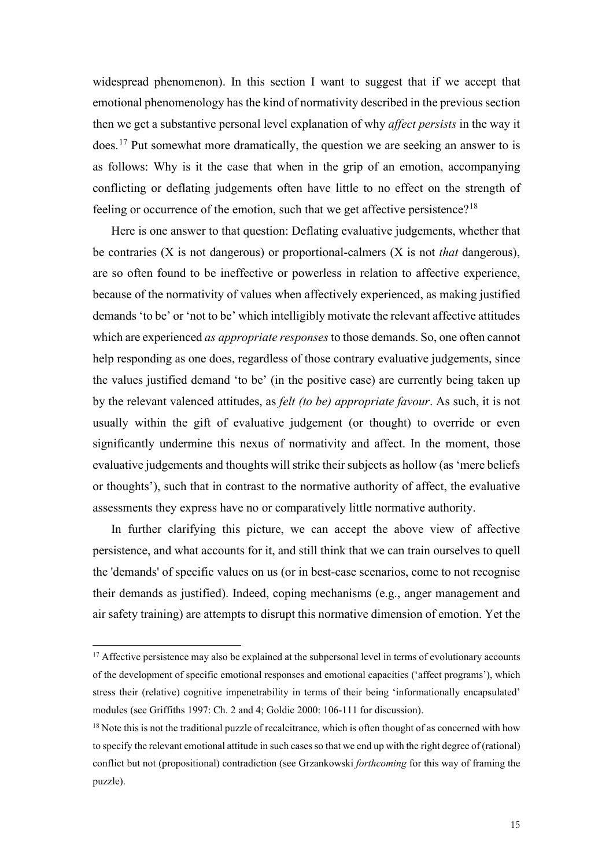widespread phenomenon). In this section I want to suggest that if we accept that emotional phenomenology has the kind of normativity described in the previous section then we get a substantive personal level explanation of why *affect persists* in the way it does. [17](#page-14-0) Put somewhat more dramatically, the question we are seeking an answer to is as follows: Why is it the case that when in the grip of an emotion, accompanying conflicting or deflating judgements often have little to no effect on the strength of feeling or occurrence of the emotion, such that we get affective persistence?<sup>[18](#page-14-1)</sup>

Here is one answer to that question: Deflating evaluative judgements, whether that be contraries (X is not dangerous) or proportional-calmers (X is not *that* dangerous), are so often found to be ineffective or powerless in relation to affective experience, because of the normativity of values when affectively experienced, as making justified demands 'to be' or 'not to be' which intelligibly motivate the relevant affective attitudes which are experienced *as appropriate responses*to those demands. So, one often cannot help responding as one does, regardless of those contrary evaluative judgements, since the values justified demand 'to be' (in the positive case) are currently being taken up by the relevant valenced attitudes, as *felt (to be) appropriate favour*. As such, it is not usually within the gift of evaluative judgement (or thought) to override or even significantly undermine this nexus of normativity and affect. In the moment, those evaluative judgements and thoughts will strike their subjects as hollow (as 'mere beliefs or thoughts'), such that in contrast to the normative authority of affect, the evaluative assessments they express have no or comparatively little normative authority.

In further clarifying this picture, we can accept the above view of affective persistence, and what accounts for it, and still think that we can train ourselves to quell the 'demands' of specific values on us (or in best-case scenarios, come to not recognise their demands as justified). Indeed, coping mechanisms (e.g., anger management and air safety training) are attempts to disrupt this normative dimension of emotion. Yet the

<span id="page-14-0"></span><sup>&</sup>lt;sup>17</sup> Affective persistence may also be explained at the subpersonal level in terms of evolutionary accounts of the development of specific emotional responses and emotional capacities ('affect programs'), which stress their (relative) cognitive impenetrability in terms of their being 'informationally encapsulated' modules (see Griffiths 1997: Ch. 2 and 4; Goldie 2000: 106-111 for discussion).

<span id="page-14-1"></span><sup>&</sup>lt;sup>18</sup> Note this is not the traditional puzzle of recalcitrance, which is often thought of as concerned with how to specify the relevant emotional attitude in such cases so that we end up with the right degree of (rational) conflict but not (propositional) contradiction (see Grzankowski *forthcoming* for this way of framing the puzzle).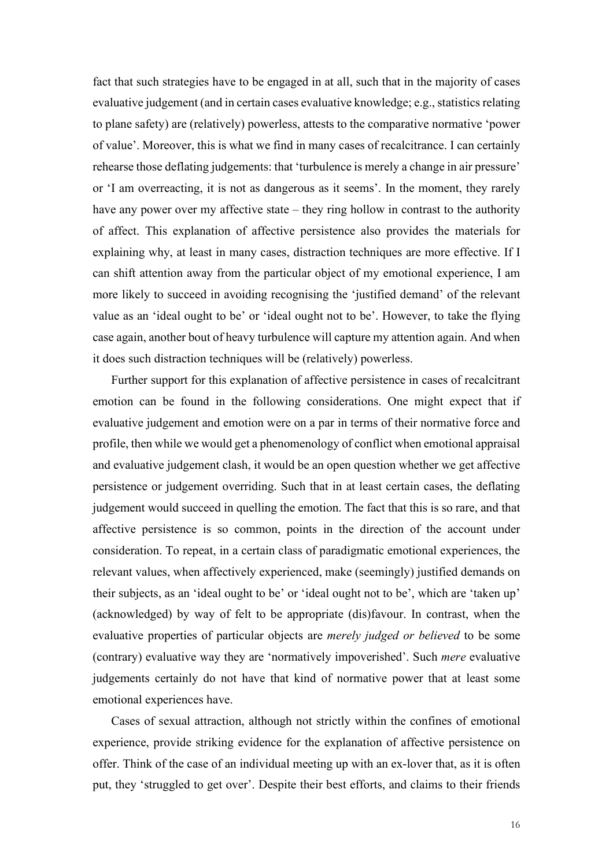fact that such strategies have to be engaged in at all, such that in the majority of cases evaluative judgement (and in certain cases evaluative knowledge; e.g., statistics relating to plane safety) are (relatively) powerless, attests to the comparative normative 'power of value'. Moreover, this is what we find in many cases of recalcitrance. I can certainly rehearse those deflating judgements: that 'turbulence is merely a change in air pressure' or 'I am overreacting, it is not as dangerous as it seems'. In the moment, they rarely have any power over my affective state – they ring hollow in contrast to the authority of affect. This explanation of affective persistence also provides the materials for explaining why, at least in many cases, distraction techniques are more effective. If I can shift attention away from the particular object of my emotional experience, I am more likely to succeed in avoiding recognising the 'justified demand' of the relevant value as an 'ideal ought to be' or 'ideal ought not to be'. However, to take the flying case again, another bout of heavy turbulence will capture my attention again. And when it does such distraction techniques will be (relatively) powerless.

Further support for this explanation of affective persistence in cases of recalcitrant emotion can be found in the following considerations. One might expect that if evaluative judgement and emotion were on a par in terms of their normative force and profile, then while we would get a phenomenology of conflict when emotional appraisal and evaluative judgement clash, it would be an open question whether we get affective persistence or judgement overriding. Such that in at least certain cases, the deflating judgement would succeed in quelling the emotion. The fact that this is so rare, and that affective persistence is so common, points in the direction of the account under consideration. To repeat, in a certain class of paradigmatic emotional experiences, the relevant values, when affectively experienced, make (seemingly) justified demands on their subjects, as an 'ideal ought to be' or 'ideal ought not to be', which are 'taken up' (acknowledged) by way of felt to be appropriate (dis)favour. In contrast, when the evaluative properties of particular objects are *merely judged or believed* to be some (contrary) evaluative way they are 'normatively impoverished'. Such *mere* evaluative judgements certainly do not have that kind of normative power that at least some emotional experiences have.

Cases of sexual attraction, although not strictly within the confines of emotional experience, provide striking evidence for the explanation of affective persistence on offer. Think of the case of an individual meeting up with an ex-lover that, as it is often put, they 'struggled to get over'. Despite their best efforts, and claims to their friends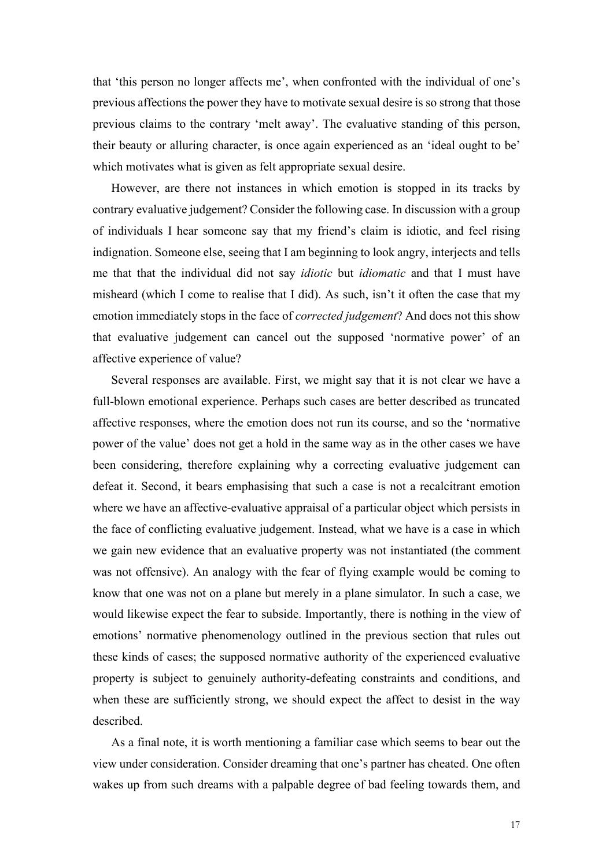that 'this person no longer affects me', when confronted with the individual of one's previous affections the power they have to motivate sexual desire is so strong that those previous claims to the contrary 'melt away'. The evaluative standing of this person, their beauty or alluring character, is once again experienced as an 'ideal ought to be' which motivates what is given as felt appropriate sexual desire.

However, are there not instances in which emotion is stopped in its tracks by contrary evaluative judgement? Consider the following case. In discussion with a group of individuals I hear someone say that my friend's claim is idiotic, and feel rising indignation. Someone else, seeing that I am beginning to look angry, interjects and tells me that that the individual did not say *idiotic* but *idiomatic* and that I must have misheard (which I come to realise that I did). As such, isn't it often the case that my emotion immediately stops in the face of *corrected judgement*? And does not this show that evaluative judgement can cancel out the supposed 'normative power' of an affective experience of value?

Several responses are available. First, we might say that it is not clear we have a full-blown emotional experience. Perhaps such cases are better described as truncated affective responses, where the emotion does not run its course, and so the 'normative power of the value' does not get a hold in the same way as in the other cases we have been considering, therefore explaining why a correcting evaluative judgement can defeat it. Second, it bears emphasising that such a case is not a recalcitrant emotion where we have an affective-evaluative appraisal of a particular object which persists in the face of conflicting evaluative judgement. Instead, what we have is a case in which we gain new evidence that an evaluative property was not instantiated (the comment was not offensive). An analogy with the fear of flying example would be coming to know that one was not on a plane but merely in a plane simulator. In such a case, we would likewise expect the fear to subside. Importantly, there is nothing in the view of emotions' normative phenomenology outlined in the previous section that rules out these kinds of cases; the supposed normative authority of the experienced evaluative property is subject to genuinely authority-defeating constraints and conditions, and when these are sufficiently strong, we should expect the affect to desist in the way described.

As a final note, it is worth mentioning a familiar case which seems to bear out the view under consideration. Consider dreaming that one's partner has cheated. One often wakes up from such dreams with a palpable degree of bad feeling towards them, and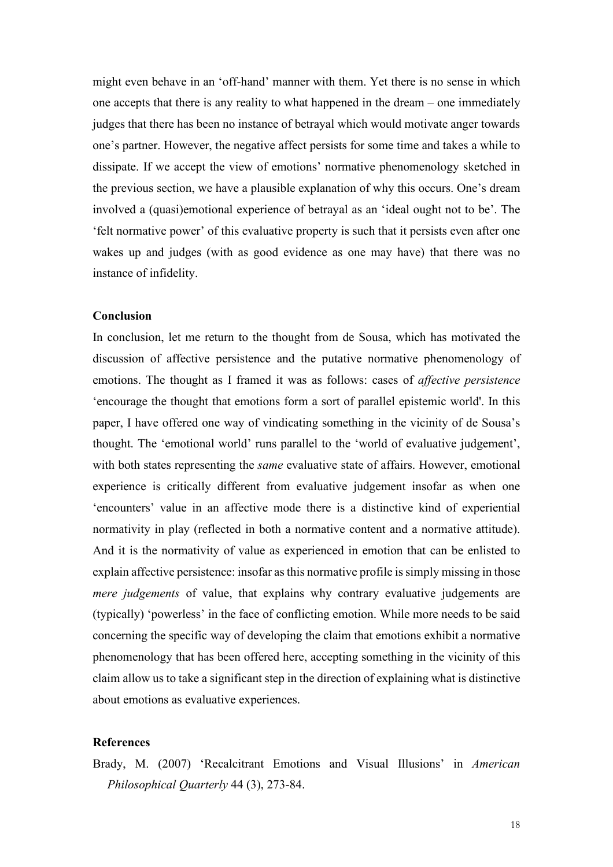might even behave in an 'off-hand' manner with them. Yet there is no sense in which one accepts that there is any reality to what happened in the dream – one immediately judges that there has been no instance of betrayal which would motivate anger towards one's partner. However, the negative affect persists for some time and takes a while to dissipate. If we accept the view of emotions' normative phenomenology sketched in the previous section, we have a plausible explanation of why this occurs. One's dream involved a (quasi)emotional experience of betrayal as an 'ideal ought not to be'. The 'felt normative power' of this evaluative property is such that it persists even after one wakes up and judges (with as good evidence as one may have) that there was no instance of infidelity.

#### **Conclusion**

In conclusion, let me return to the thought from de Sousa, which has motivated the discussion of affective persistence and the putative normative phenomenology of emotions. The thought as I framed it was as follows: cases of *affective persistence* 'encourage the thought that emotions form a sort of parallel epistemic world'. In this paper, I have offered one way of vindicating something in the vicinity of de Sousa's thought. The 'emotional world' runs parallel to the 'world of evaluative judgement', with both states representing the *same* evaluative state of affairs. However, emotional experience is critically different from evaluative judgement insofar as when one 'encounters' value in an affective mode there is a distinctive kind of experiential normativity in play (reflected in both a normative content and a normative attitude). And it is the normativity of value as experienced in emotion that can be enlisted to explain affective persistence: insofar as this normative profile is simply missing in those *mere judgements* of value, that explains why contrary evaluative judgements are (typically) 'powerless' in the face of conflicting emotion. While more needs to be said concerning the specific way of developing the claim that emotions exhibit a normative phenomenology that has been offered here, accepting something in the vicinity of this claim allow us to take a significant step in the direction of explaining what is distinctive about emotions as evaluative experiences.

## **References**

Brady, M. (2007) 'Recalcitrant Emotions and Visual Illusions' in *American Philosophical Quarterly* 44 (3), 273-84.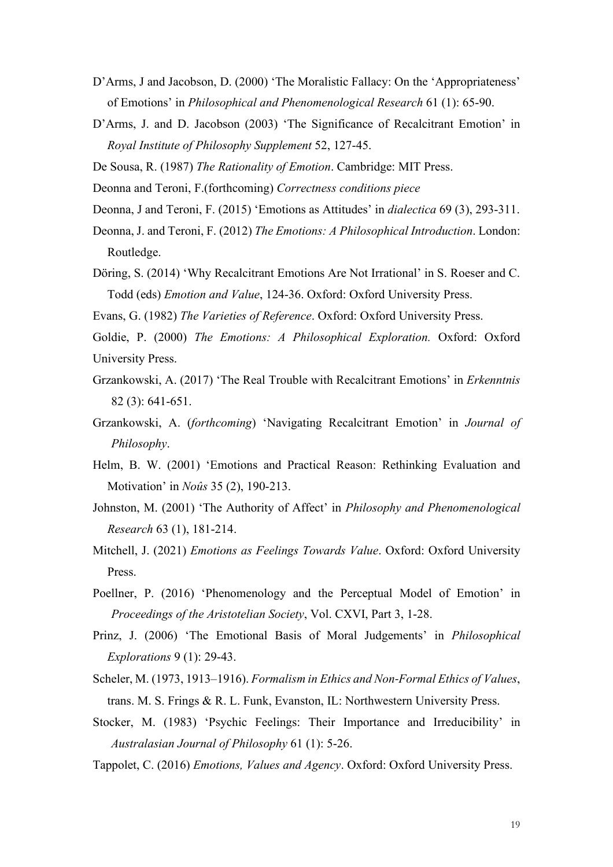- D'Arms, J and Jacobson, D. (2000) 'The Moralistic Fallacy: On the 'Appropriateness' of Emotions' in *Philosophical and Phenomenological Research* 61 (1): 65-90.
- D'Arms, J. and D. Jacobson (2003) 'The Significance of Recalcitrant Emotion' in *Royal Institute of Philosophy Supplement* 52, 127-45.
- De Sousa, R. (1987) *The Rationality of Emotion*. Cambridge: MIT Press.
- Deonna and Teroni, F.(forthcoming) *Correctness conditions piece*
- Deonna, J and Teroni, F. (2015) 'Emotions as Attitudes' in *dialectica* 69 (3), 293-311.
- Deonna, J. and Teroni, F. (2012) *The Emotions: A Philosophical Introduction*. London: Routledge.
- Döring, S. (2014) 'Why Recalcitrant Emotions Are Not Irrational' in S. Roeser and C. Todd (eds) *Emotion and Value*, 124-36. Oxford: Oxford University Press.
- Evans, G. (1982) *The Varieties of Reference*. Oxford: Oxford University Press.
- Goldie, P. (2000) *The Emotions: A Philosophical Exploration.* Oxford: Oxford University Press.
- Grzankowski, A. (2017) 'The Real Trouble with Recalcitrant Emotions' in *Erkenntnis* 82 (3): 641-651.
- Grzankowski, A. (*forthcoming*) 'Navigating Recalcitrant Emotion' in *Journal of Philosophy*.
- Helm, B. W. (2001) 'Emotions and Practical Reason: Rethinking Evaluation and Motivation' in *Noûs* 35 (2), 190-213.
- Johnston, M. (2001) 'The Authority of Affect' in *Philosophy and Phenomenological Research* 63 (1), 181-214.
- Mitchell, J. (2021) *Emotions as Feelings Towards Value*. Oxford: Oxford University Press.
- Poellner, P. (2016) 'Phenomenology and the Perceptual Model of Emotion' in *Proceedings of the Aristotelian Society*, Vol. CXVI, Part 3, 1-28.
- Prinz, J. (2006) 'The Emotional Basis of Moral Judgements' in *Philosophical Explorations* 9 (1): 29-43.
- Scheler, M. (1973, 1913–1916). *Formalism in Ethics and Non‐Formal Ethics of Values*, trans. M. S. Frings & R. L. Funk, Evanston, IL: Northwestern University Press.
- Stocker, M. (1983) 'Psychic Feelings: Their Importance and Irreducibility' in *Australasian Journal of Philosophy* 61 (1): 5-26.
- Tappolet, C. (2016) *Emotions, Values and Agency*. Oxford: Oxford University Press.